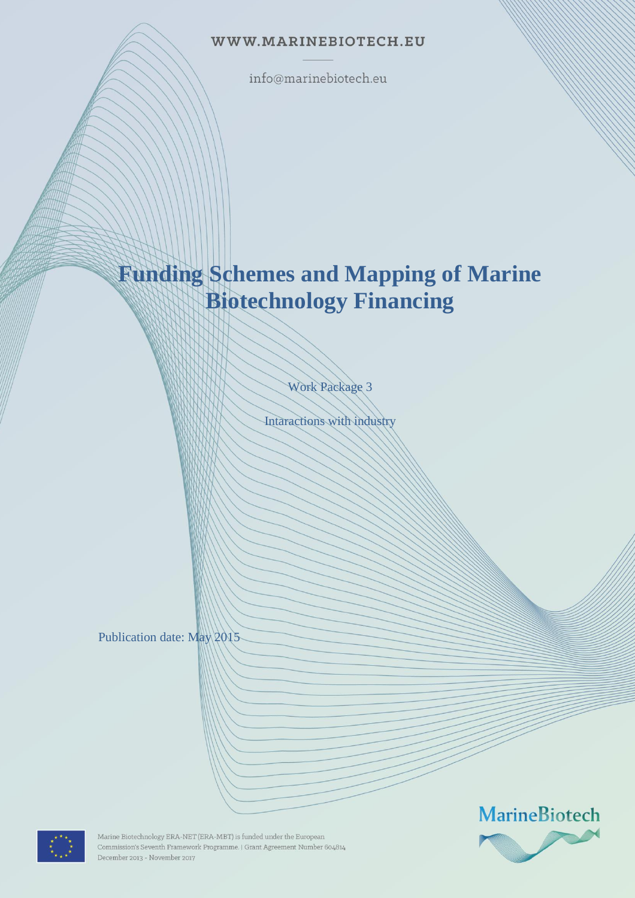### WWW.MARINEBIOTECH.EU

info@marinebiotech.eu

# **Funding Schemes and Mapping of Marine Biotechnology Financing**

Work Package 3

Intaractions with industry

Publication date: May 2015





Marine Biotechnology ERA-NET (ERA-MBT) is funded under the European Commission's Seventh Framework Programme. | Grant Agreement Number 604814 December 2013 - November 2017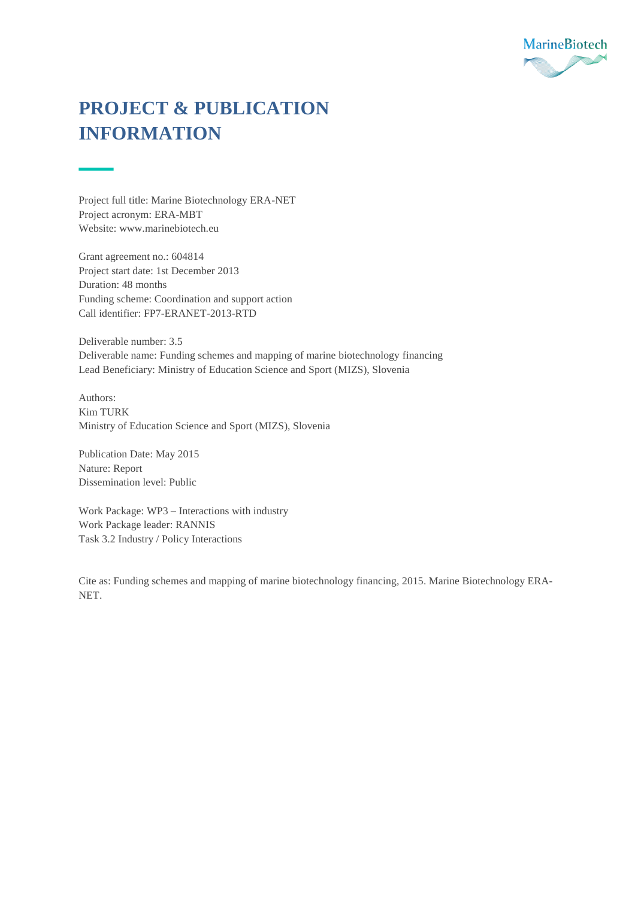

## **PROJECT & PUBLICATION INFORMATION**

Project full title: Marine Biotechnology ERA-NET Project acronym: ERA-MBT Website[: www.marinebiotech.eu](http://www.marinebiotech.eu/)

Grant agreement no.: 604814 Project start date: 1st December 2013 Duration: 48 months Funding scheme: Coordination and support action Call identifier: FP7-ERANET-2013-RTD

Deliverable number: 3.5 Deliverable name: Funding schemes and mapping of marine biotechnology financing Lead Beneficiary: Ministry of Education Science and Sport (MIZS), Slovenia

Authors: Kim TURK Ministry of Education Science and Sport (MIZS), Slovenia

Publication Date: May 2015 Nature: Report Dissemination level: Public

Work Package: WP3 – Interactions with industry Work Package leader: RANNIS Task 3.2 Industry / Policy Interactions

Cite as: Funding schemes and mapping of marine biotechnology financing, 2015. Marine Biotechnology ERA-NET.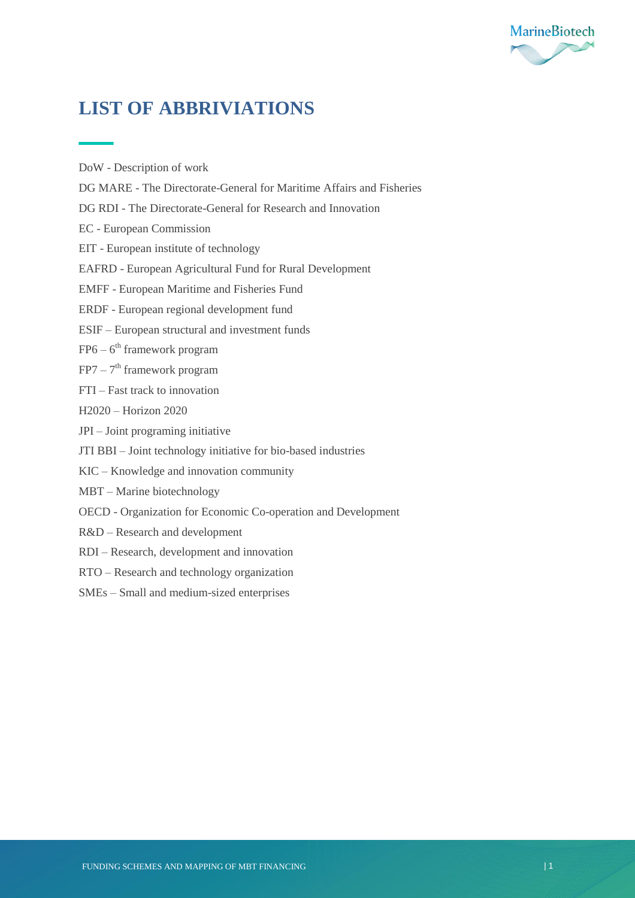

## **LIST OF ABBRIVIATIONS**

DoW - Description of work

- DG MARE The Directorate-General for Maritime Affairs and Fisheries
- DG RDI The Directorate-General for Research and Innovation
- EC European Commission
- EIT European institute of technology
- EAFRD European Agricultural Fund for Rural Development
- EMFF European Maritime and Fisheries Fund
- ERDF European regional development fund
- ESIF European structural and investment funds
- FP6 6<sup>th</sup> framework program
- FP7 7<sup>th</sup> framework program
- FTI Fast track to innovation
- H2020 Horizon 2020
- JPI Joint programing initiative
- JTI BBI Joint technology initiative for bio-based industries
- KIC Knowledge and innovation community
- MBT Marine biotechnology
- OECD Organization for Economic Co-operation and Development
- R&D Research and development
- RDI Research, development and innovation
- RTO Research and technology organization
- SMEs Small and medium-sized enterprises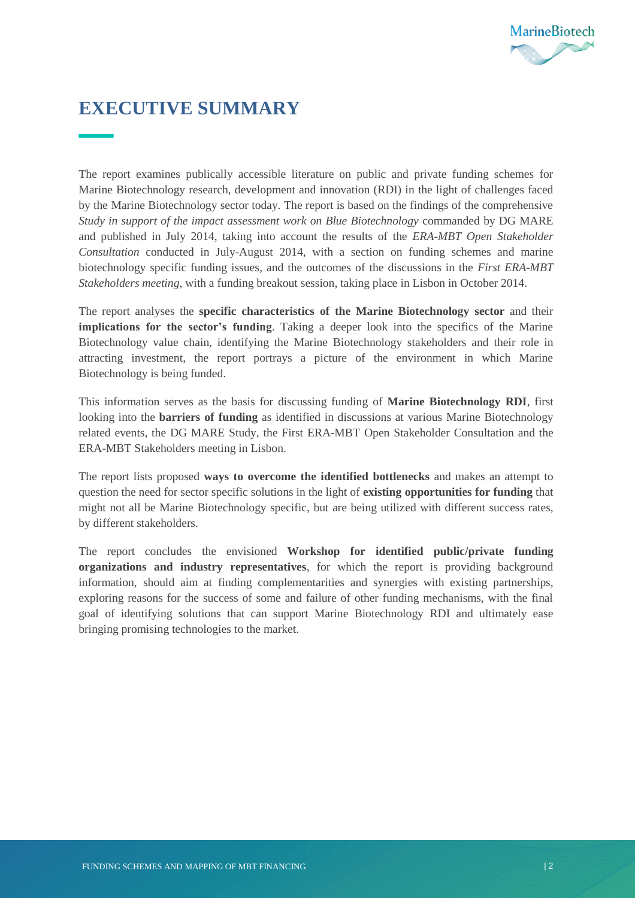

## <span id="page-3-0"></span>**EXECUTIVE SUMMARY**

The report examines publically accessible literature on public and private funding schemes for Marine Biotechnology research, development and innovation (RDI) in the light of challenges faced by the Marine Biotechnology sector today. The report is based on the findings of the comprehensive *Study in support of the impact assessment work on Blue Biotechnology* commanded by DG MARE and published in July 2014, taking into account the results of the *ERA-MBT Open Stakeholder Consultation* conducted in July-August 2014, with a section on funding schemes and marine biotechnology specific funding issues, and the outcomes of the discussions in the *First ERA-MBT Stakeholders meeting*, with a funding breakout session, taking place in Lisbon in October 2014.

The report analyses the **specific characteristics of the Marine Biotechnology sector** and their **implications for the sector's funding**. Taking a deeper look into the specifics of the Marine Biotechnology value chain, identifying the Marine Biotechnology stakeholders and their role in attracting investment, the report portrays a picture of the environment in which Marine Biotechnology is being funded.

This information serves as the basis for discussing funding of **Marine Biotechnology RDI**, first looking into the **barriers of funding** as identified in discussions at various Marine Biotechnology related events, the DG MARE Study, the First ERA-MBT Open Stakeholder Consultation and the ERA-MBT Stakeholders meeting in Lisbon.

The report lists proposed **ways to overcome the identified bottlenecks** and makes an attempt to question the need for sector specific solutions in the light of **existing opportunities for funding** that might not all be Marine Biotechnology specific, but are being utilized with different success rates, by different stakeholders.

The report concludes the envisioned **Workshop for identified public/private funding organizations and industry representatives**, for which the report is providing background information, should aim at finding complementarities and synergies with existing partnerships, exploring reasons for the success of some and failure of other funding mechanisms, with the final goal of identifying solutions that can support Marine Biotechnology RDI and ultimately ease bringing promising technologies to the market.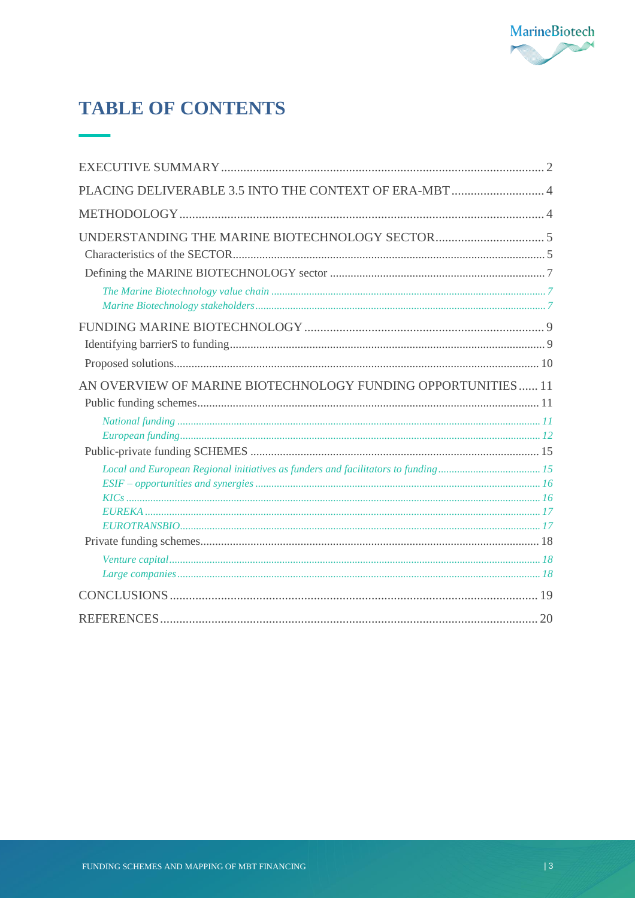

## **TABLE OF CONTENTS**

| PLACING DELIVERABLE 3.5 INTO THE CONTEXT OF ERA-MBT  4       |  |
|--------------------------------------------------------------|--|
|                                                              |  |
|                                                              |  |
|                                                              |  |
|                                                              |  |
|                                                              |  |
|                                                              |  |
| AN OVERVIEW OF MARINE BIOTECHNOLOGY FUNDING OPPORTUNITIES 11 |  |
|                                                              |  |
|                                                              |  |
|                                                              |  |
|                                                              |  |
|                                                              |  |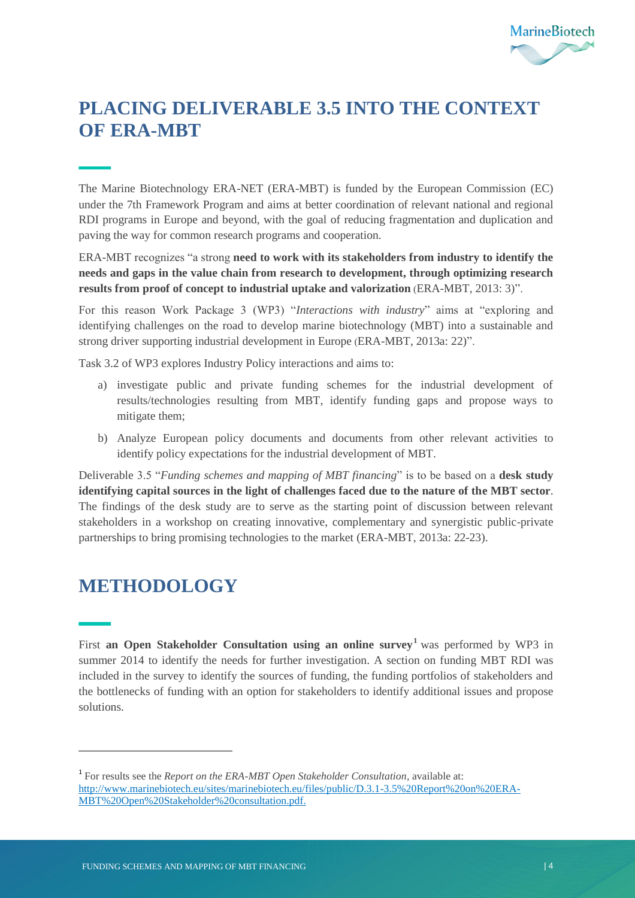

## <span id="page-5-0"></span>**PLACING DELIVERABLE 3.5 INTO THE CONTEXT OF ERA-MBT**

The Marine Biotechnology ERA-NET (ERA-MBT) is funded by the European Commission (EC) under the 7th Framework Program and aims at better coordination of relevant national and regional RDI programs in Europe and beyond, with the goal of reducing fragmentation and duplication and paving the way for common research programs and cooperation.

ERA-MBT recognizes "a strong **need to work with its stakeholders from industry to identify the needs and gaps in the value chain from research to development, through optimizing research results from proof of concept to industrial uptake and valorization** (ERA-MBT, 2013: 3)".

For this reason Work Package 3 (WP3) "*Interactions with industry*" aims at "exploring and identifying challenges on the road to develop marine biotechnology (MBT) into a sustainable and strong driver supporting industrial development in Europe (ERA-MBT, 2013a: 22)".

Task 3.2 of WP3 explores Industry Policy interactions and aims to:

- a) investigate public and private funding schemes for the industrial development of results/technologies resulting from MBT, identify funding gaps and propose ways to mitigate them;
- b) Analyze European policy documents and documents from other relevant activities to identify policy expectations for the industrial development of MBT.

Deliverable 3.5 "*Funding schemes and mapping of MBT financing*" is to be based on a **desk study identifying capital sources in the light of challenges faced due to the nature of the MBT sector**. The findings of the desk study are to serve as the starting point of discussion between relevant stakeholders in a workshop on creating innovative, complementary and synergistic public-private partnerships to bring promising technologies to the market (ERA-MBT, 2013a: 22-23).

## <span id="page-5-1"></span>**METHODOLOGY**

 $\ddot{\phantom{a}}$ 

First an Open Stakeholder Consultation using an online survey<sup>1</sup> was performed by WP3 in summer 2014 to identify the needs for further investigation. A section on funding MBT RDI was included in the survey to identify the sources of funding, the funding portfolios of stakeholders and the bottlenecks of funding with an option for stakeholders to identify additional issues and propose solutions.

<sup>&</sup>lt;sup>1</sup> For results see the *Report on the ERA-MBT Open Stakeholder Consultation*, available at: [http://www.marinebiotech.eu/sites/marinebiotech.eu/files/public/D.3.1-3.5%20Report%20on%20ERA-](http://www.marinebiotech.eu/sites/marinebiotech.eu/files/public/D.3.1-3.5%20Report%20on%20ERA-MBT%20Open%20Stakeholder%20consultation.pdf)[MBT%20Open%20Stakeholder%20consultation.pdf.](http://www.marinebiotech.eu/sites/marinebiotech.eu/files/public/D.3.1-3.5%20Report%20on%20ERA-MBT%20Open%20Stakeholder%20consultation.pdf)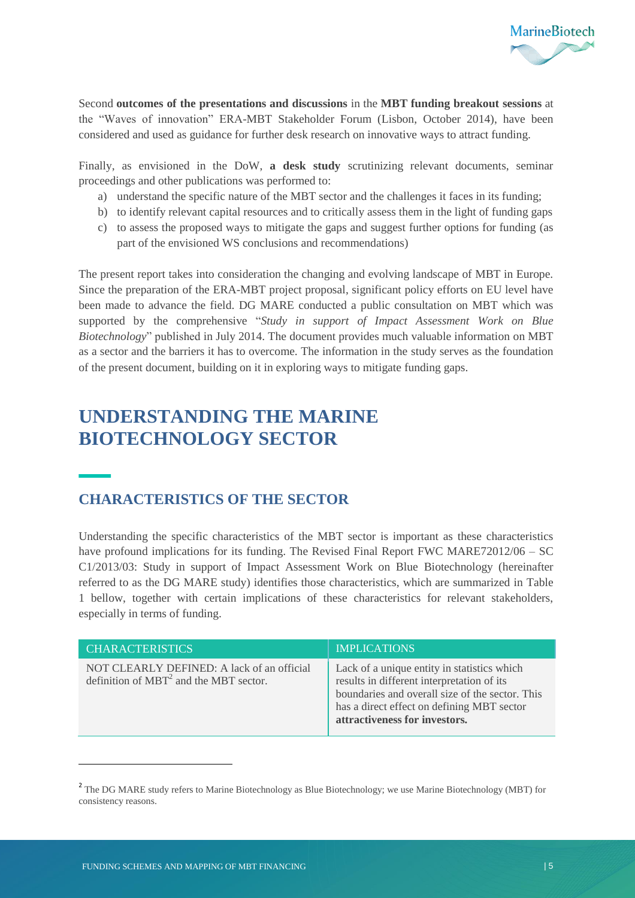

Second **outcomes of the presentations and discussions** in the **MBT funding breakout sessions** at the "Waves of innovation" ERA-MBT Stakeholder Forum (Lisbon, October 2014), have been considered and used as guidance for further desk research on innovative ways to attract funding.

Finally, as envisioned in the DoW, **a desk study** scrutinizing relevant documents, seminar proceedings and other publications was performed to:

- a) understand the specific nature of the MBT sector and the challenges it faces in its funding;
- b) to identify relevant capital resources and to critically assess them in the light of funding gaps
- c) to assess the proposed ways to mitigate the gaps and suggest further options for funding (as part of the envisioned WS conclusions and recommendations)

The present report takes into consideration the changing and evolving landscape of MBT in Europe. Since the preparation of the ERA-MBT project proposal, significant policy efforts on EU level have been made to advance the field. DG MARE conducted a public consultation on MBT which was supported by the comprehensive "*Study in support of Impact Assessment Work on Blue Biotechnology*" published in July 2014. The document provides much valuable information on MBT as a sector and the barriers it has to overcome. The information in the study serves as the foundation of the present document, building on it in exploring ways to mitigate funding gaps.

## <span id="page-6-0"></span>**UNDERSTANDING THE MARINE BIOTECHNOLOGY SECTOR**

### <span id="page-6-1"></span>**CHARACTERISTICS OF THE SECTOR**

Understanding the specific characteristics of the MBT sector is important as these characteristics have profound implications for its funding. The Revised Final Report FWC MARE72012/06 – SC C1/2013/03: Study in support of Impact Assessment Work on Blue Biotechnology (hereinafter referred to as the DG MARE study) identifies those characteristics, which are summarized in Table 1 bellow, together with certain implications of these characteristics for relevant stakeholders, especially in terms of funding.

| <b>CHARACTERISTICS</b>                                                                 | <b>IMPLICATIONS</b>                                                                                                                                                                                                         |
|----------------------------------------------------------------------------------------|-----------------------------------------------------------------------------------------------------------------------------------------------------------------------------------------------------------------------------|
| NOT CLEARLY DEFINED: A lack of an official<br>definition of $MBT2$ and the MBT sector. | Lack of a unique entity in statistics which<br>results in different interpretation of its<br>boundaries and overall size of the sector. This<br>has a direct effect on defining MBT sector<br>attractiveness for investors. |

 $\overline{a}$ 

<sup>&</sup>lt;sup>2</sup> The DG MARE study refers to Marine Biotechnology as Blue Biotechnology; we use Marine Biotechnology (MBT) for consistency reasons.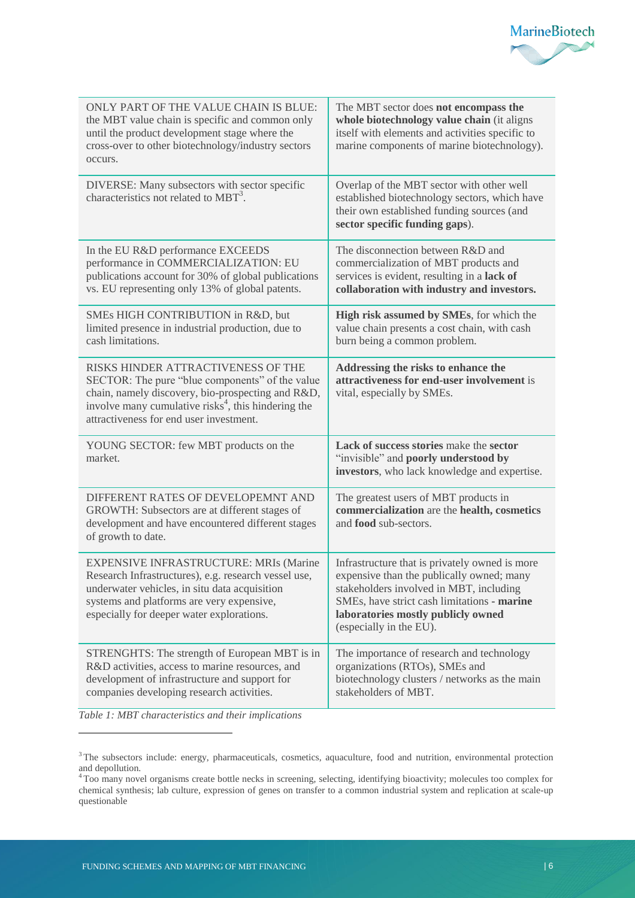

| ONLY PART OF THE VALUE CHAIN IS BLUE:<br>the MBT value chain is specific and common only<br>until the product development stage where the<br>cross-over to other biotechnology/industry sectors<br>occurs.                                               | The MBT sector does not encompass the<br>whole biotechnology value chain (it aligns<br>itself with elements and activities specific to<br>marine components of marine biotechnology).                                                                  |
|----------------------------------------------------------------------------------------------------------------------------------------------------------------------------------------------------------------------------------------------------------|--------------------------------------------------------------------------------------------------------------------------------------------------------------------------------------------------------------------------------------------------------|
| DIVERSE: Many subsectors with sector specific<br>characteristics not related to $MBT3$ .                                                                                                                                                                 | Overlap of the MBT sector with other well<br>established biotechnology sectors, which have<br>their own established funding sources (and<br>sector specific funding gaps).                                                                             |
| In the EU R&D performance EXCEEDS<br>performance in COMMERCIALIZATION: EU<br>publications account for 30% of global publications<br>vs. EU representing only 13% of global patents.                                                                      | The disconnection between R&D and<br>commercialization of MBT products and<br>services is evident, resulting in a lack of<br>collaboration with industry and investors.                                                                                |
| SMEs HIGH CONTRIBUTION in R&D, but<br>limited presence in industrial production, due to<br>cash limitations.                                                                                                                                             | High risk assumed by SMEs, for which the<br>value chain presents a cost chain, with cash<br>burn being a common problem.                                                                                                                               |
| RISKS HINDER ATTRACTIVENESS OF THE<br>SECTOR: The pure "blue components" of the value<br>chain, namely discovery, bio-prospecting and R&D,<br>involve many cumulative risks <sup>4</sup> , this hindering the<br>attractiveness for end user investment. | Addressing the risks to enhance the<br>attractiveness for end-user involvement is<br>vital, especially by SMEs.                                                                                                                                        |
| YOUNG SECTOR: few MBT products on the<br>market.                                                                                                                                                                                                         | Lack of success stories make the sector<br>"invisible" and poorly understood by<br>investors, who lack knowledge and expertise.                                                                                                                        |
| DIFFERENT RATES OF DEVELOPEMNT AND<br>GROWTH: Subsectors are at different stages of<br>development and have encountered different stages<br>of growth to date.                                                                                           | The greatest users of MBT products in<br>commercialization are the health, cosmetics<br>and <b>food</b> sub-sectors.                                                                                                                                   |
| <b>EXPENSIVE INFRASTRUCTURE: MRIs (Marine</b><br>Research Infrastructures), e.g. research vessel use,<br>underwater vehicles, in situ data acquisition<br>systems and platforms are very expensive,<br>especially for deeper water explorations.         | Infrastructure that is privately owned is more<br>expensive than the publically owned; many<br>stakeholders involved in MBT, including<br>SMEs, have strict cash limitations - marine<br>laboratories mostly publicly owned<br>(especially in the EU). |
| STRENGHTS: The strength of European MBT is in<br>R&D activities, access to marine resources, and<br>development of infrastructure and support for<br>companies developing research activities.                                                           | The importance of research and technology<br>organizations (RTOs), SMEs and<br>biotechnology clusters / networks as the main<br>stakeholders of MBT.                                                                                                   |

*Table 1: MBT characteristics and their implications*

 $\overline{a}$ 

<sup>&</sup>lt;sup>3</sup> The subsectors include: energy, pharmaceuticals, cosmetics, aquaculture, food and nutrition, environmental protection and depollution.

<sup>&</sup>lt;sup>4</sup> Too many novel organisms create bottle necks in screening, selecting, identifying bioactivity; molecules too complex for chemical synthesis; lab culture, expression of genes on transfer to a common industrial system and replication at scale-up questionable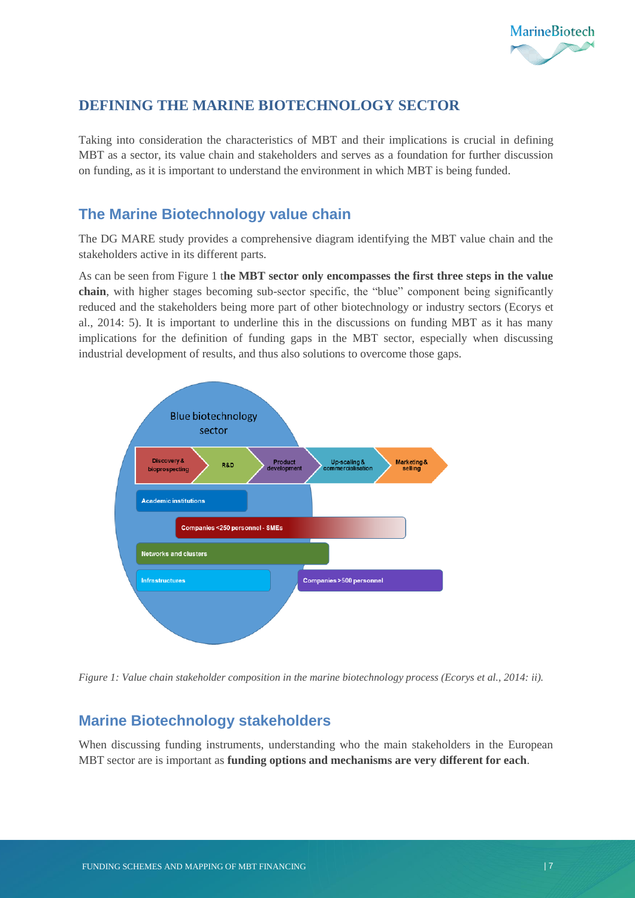

## <span id="page-8-0"></span>**DEFINING THE MARINE BIOTECHNOLOGY SECTOR**

Taking into consideration the characteristics of MBT and their implications is crucial in defining MBT as a sector, its value chain and stakeholders and serves as a foundation for further discussion on funding, as it is important to understand the environment in which MBT is being funded.

### <span id="page-8-1"></span>**The Marine Biotechnology value chain**

The DG MARE study provides a comprehensive diagram identifying the MBT value chain and the stakeholders active in its different parts.

As can be seen from Figure 1 t**he MBT sector only encompasses the first three steps in the value chain**, with higher stages becoming sub-sector specific, the "blue" component being significantly reduced and the stakeholders being more part of other biotechnology or industry sectors (Ecorys et al., 2014: 5). It is important to underline this in the discussions on funding MBT as it has many implications for the definition of funding gaps in the MBT sector, especially when discussing industrial development of results, and thus also solutions to overcome those gaps.



*Figure 1: Value chain stakeholder composition in the marine biotechnology process (Ecorys et al., 2014: ii).*

### <span id="page-8-2"></span>**Marine Biotechnology stakeholders**

When discussing funding instruments, understanding who the main stakeholders in the European MBT sector are is important as **funding options and mechanisms are very different for each**.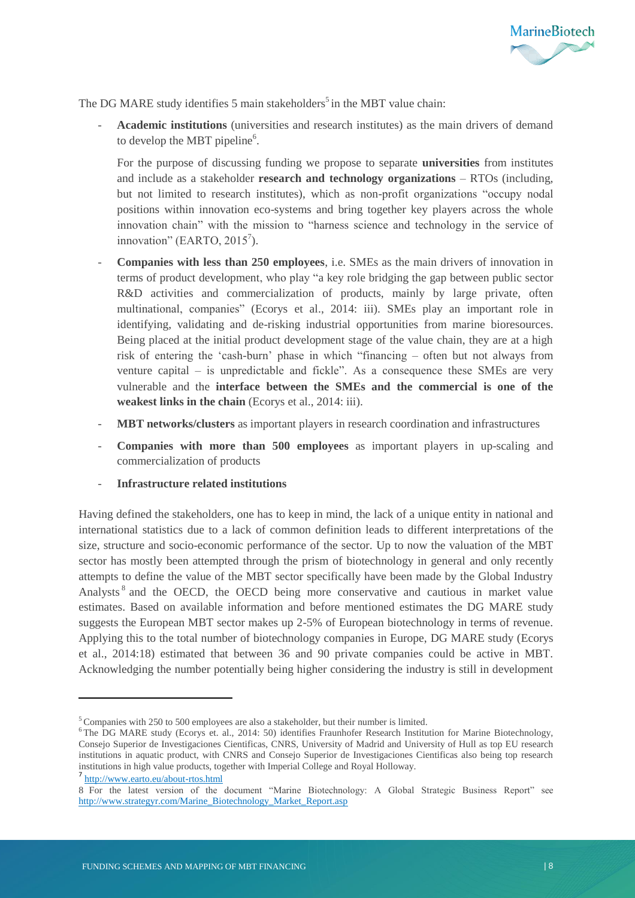

The DG MARE study identifies 5 main stakeholders<sup>5</sup> in the MBT value chain:

- **Academic institutions** (universities and research institutes) as the main drivers of demand to develop the MBT pipeline<sup>6</sup>.

For the purpose of discussing funding we propose to separate **universities** from institutes and include as a stakeholder **research and technology organizations** – RTOs (including, but not limited to research institutes), which as non-profit organizations "occupy nodal positions within innovation eco-systems and bring together key players across the whole innovation chain" with the mission to "harness science and technology in the service of innovation" (EARTO,  $2015^7$ ).

- **Companies with less than 250 employees**, i.e. SMEs as the main drivers of innovation in terms of product development, who play "a key role bridging the gap between public sector R&D activities and commercialization of products, mainly by large private, often multinational, companies" (Ecorys et al., 2014: iii). SMEs play an important role in identifying, validating and de-risking industrial opportunities from marine bioresources. Being placed at the initial product development stage of the value chain, they are at a high risk of entering the 'cash-burn' phase in which "financing – often but not always from venture capital – is unpredictable and fickle". As a consequence these SMEs are very vulnerable and the **interface between the SMEs and the commercial is one of the weakest links in the chain** (Ecorys et al., 2014: iii).
- **MBT networks/clusters** as important players in research coordination and infrastructures
- **Companies with more than 500 employees** as important players in up-scaling and commercialization of products
- **Infrastructure related institutions**

Having defined the stakeholders, one has to keep in mind, the lack of a unique entity in national and international statistics due to a lack of common definition leads to different interpretations of the size, structure and socio-economic performance of the sector. Up to now the valuation of the MBT sector has mostly been attempted through the prism of biotechnology in general and only recently attempts to define the value of the MBT sector specifically have been made by the Global Industry Analysts<sup>8</sup> and the OECD, the OECD being more conservative and cautious in market value estimates. Based on available information and before mentioned estimates the DG MARE study suggests the European MBT sector makes up 2-5% of European biotechnology in terms of revenue. Applying this to the total number of biotechnology companies in Europe, DG MARE study (Ecorys et al., 2014:18) estimated that between 36 and 90 private companies could be active in MBT. Acknowledging the number potentially being higher considering the industry is still in development

 $\ddot{\phantom{a}}$ 

<sup>5</sup> Companies with 250 to 500 employees are also a stakeholder, but their number is limited.

<sup>6</sup> The DG MARE study (Ecorys et. al., 2014: 50) identifies Fraunhofer Research Institution for Marine Biotechnology, Consejo Superior de Investigaciones Cientificas, CNRS, University of Madrid and University of Hull as top EU research institutions in aquatic product, with CNRS and Consejo Superior de Investigaciones Cientificas also being top research institutions in high value products, together with Imperial College and Royal Holloway.

<sup>7</sup> <http://www.earto.eu/about-rtos.html>

<sup>8</sup> For the latest version of the document "Marine Biotechnology: A Global Strategic Business Report" see [http://www.strategyr.com/Marine\\_Biotechnology\\_Market\\_Report.asp](http://www.strategyr.com/Marine_Biotechnology_Market_Report.asp)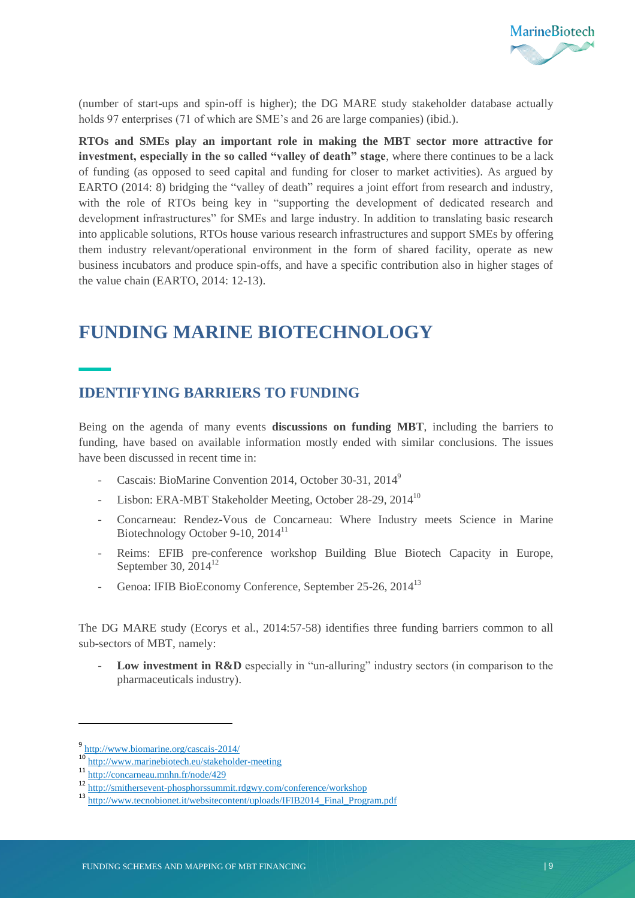

(number of start-ups and spin-off is higher); the DG MARE study stakeholder database actually holds 97 enterprises (71 of which are SME's and 26 are large companies) (ibid.).

**RTOs and SMEs play an important role in making the MBT sector more attractive for investment, especially in the so called "valley of death" stage**, where there continues to be a lack of funding (as opposed to seed capital and funding for closer to market activities). As argued by EARTO (2014: 8) bridging the "valley of death" requires a joint effort from research and industry, with the role of RTOs being key in "supporting the development of dedicated research and development infrastructures" for SMEs and large industry. In addition to translating basic research into applicable solutions, RTOs house various research infrastructures and support SMEs by offering them industry relevant/operational environment in the form of shared facility, operate as new business incubators and produce spin-offs, and have a specific contribution also in higher stages of the value chain (EARTO, 2014: 12-13).

## <span id="page-10-0"></span>**FUNDING MARINE BIOTECHNOLOGY**

#### <span id="page-10-1"></span>**IDENTIFYING BARRIERS TO FUNDING**

Being on the agenda of many events **discussions on funding MBT**, including the barriers to funding, have based on available information mostly ended with similar conclusions. The issues have been discussed in recent time in:

- Cascais: BioMarine Convention 2014, October 30-31, 2014<sup>9</sup>
- Lisbon: ERA-MBT Stakeholder Meeting, October 28-29, 2014<sup>10</sup>
- Concarneau: Rendez-Vous de Concarneau: Where Industry meets Science in Marine Biotechnology October 9-10, 2014<sup>11</sup>
- Reims: EFIB pre-conference workshop Building Blue Biotech Capacity in Europe, September 30,  $2014^{12}$
- Genoa: IFIB BioEconomy Conference, September 25-26, 2014<sup>13</sup>

The DG MARE study (Ecorys et al., 2014:57-58) identifies three funding barriers common to all sub-sectors of MBT, namely:

Low **investment in R&D** especially in "un-alluring" industry sectors (in comparison to the pharmaceuticals industry).

 $\ddot{\phantom{a}}$ 

<sup>&</sup>lt;sup>9</sup> http://www.biomarine.org/cascais-2014/

<sup>10</sup> http://www.marinebiotech.eu/stakeholder-meeting

<sup>11</sup> http://concarneau.mnhn.fr/node/429

<sup>12</sup> http://smithersevent-phosphorssummit.rdgwy.com/conference/workshop

<sup>13</sup> http://www.tecnobionet.it/websitecontent/uploads/IFIB2014\_Final\_Program.pdf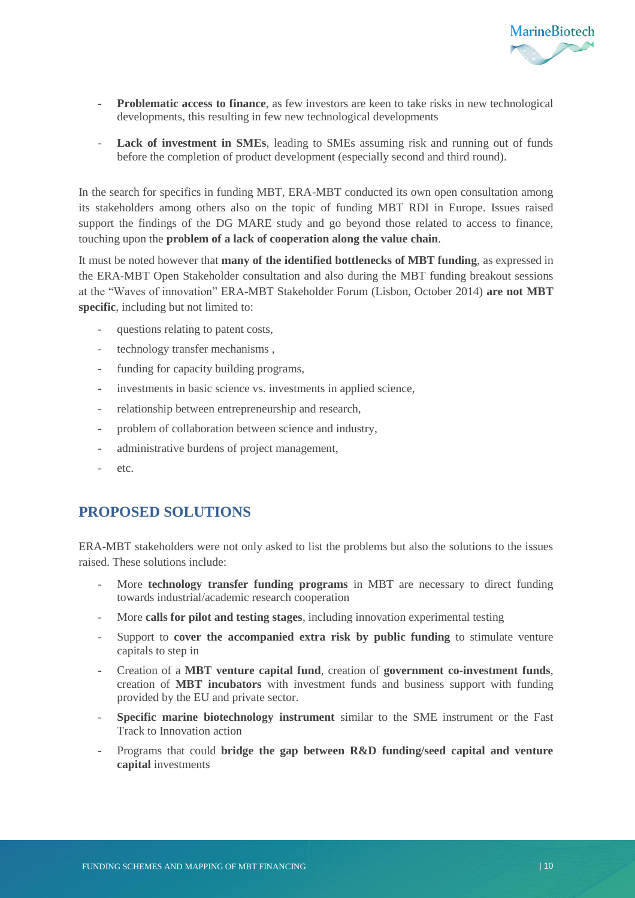

- **Problematic access to finance**, as few investors are keen to take risks in new technological developments, this resulting in few new technological developments
- **Lack of investment in SMEs**, leading to SMEs assuming risk and running out of funds before the completion of product development (especially second and third round).

In the search for specifics in funding MBT, ERA-MBT conducted its own open consultation among its stakeholders among others also on the topic of funding MBT RDI in Europe. Issues raised support the findings of the DG MARE study and go beyond those related to access to finance, touching upon the **problem of a lack of cooperation along the value chain**.

It must be noted however that **many of the identified bottlenecks of MBT funding**, as expressed in the ERA-MBT Open Stakeholder consultation and also during the MBT funding breakout sessions at the "Waves of innovation" ERA-MBT Stakeholder Forum (Lisbon, October 2014) **are not MBT specific**, including but not limited to:

- questions relating to patent costs,
- technology transfer mechanisms,
- funding for capacity building programs,
- investments in basic science vs. investments in applied science,
- relationship between entrepreneurship and research,
- problem of collaboration between science and industry,
- administrative burdens of project management,
- etc.

#### <span id="page-11-0"></span>**PROPOSED SOLUTIONS**

ERA-MBT stakeholders were not only asked to list the problems but also the solutions to the issues raised. These solutions include:

- More **technology transfer funding programs** in MBT are necessary to direct funding towards industrial/academic research cooperation
- More **calls for pilot and testing stages**, including innovation experimental testing
- Support to **cover the accompanied extra risk by public funding** to stimulate venture capitals to step in
- Creation of a **MBT venture capital fund**, creation of **government co-investment funds**, creation of **MBT incubators** with investment funds and business support with funding provided by the EU and private sector.
- Specific marine biotechnology instrument similar to the SME instrument or the Fast Track to Innovation action
- Programs that could **bridge the gap between R&D funding/seed capital and venture capital** investments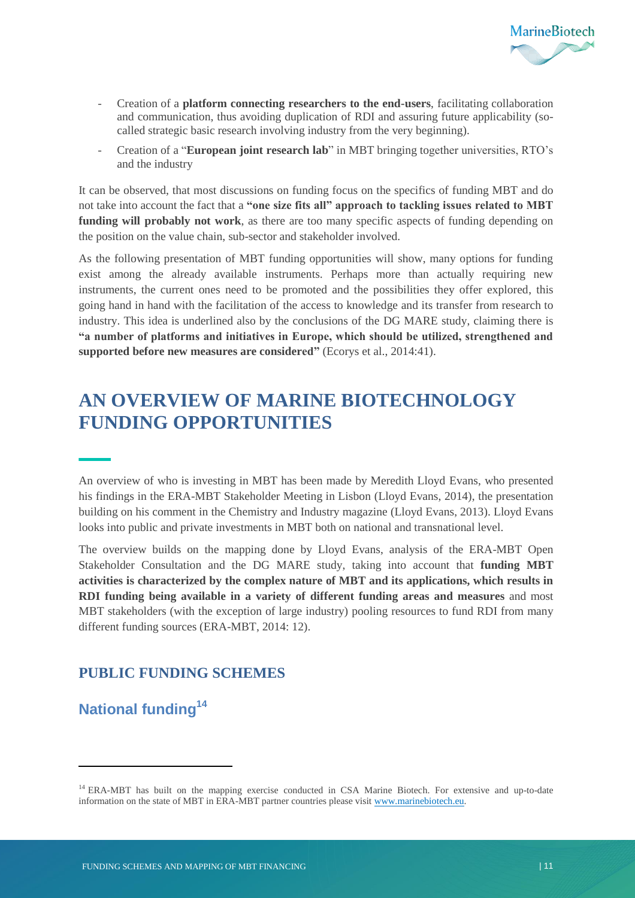

- Creation of a **platform connecting researchers to the end-users**, facilitating collaboration and communication, thus avoiding duplication of RDI and assuring future applicability (socalled strategic basic research involving industry from the very beginning).
- Creation of a "**European joint research lab**" in MBT bringing together universities, RTO's and the industry

It can be observed, that most discussions on funding focus on the specifics of funding MBT and do not take into account the fact that a **"one size fits all" approach to tackling issues related to MBT funding will probably not work**, as there are too many specific aspects of funding depending on the position on the value chain, sub-sector and stakeholder involved.

As the following presentation of MBT funding opportunities will show, many options for funding exist among the already available instruments. Perhaps more than actually requiring new instruments, the current ones need to be promoted and the possibilities they offer explored, this going hand in hand with the facilitation of the access to knowledge and its transfer from research to industry. This idea is underlined also by the conclusions of the DG MARE study, claiming there is **"a number of platforms and initiatives in Europe, which should be utilized, strengthened and supported before new measures are considered"** (Ecorys et al., 2014:41).

## <span id="page-12-0"></span>**AN OVERVIEW OF MARINE BIOTECHNOLOGY FUNDING OPPORTUNITIES**

An overview of who is investing in MBT has been made by Meredith Lloyd Evans, who presented his findings in the ERA-MBT Stakeholder Meeting in Lisbon (Lloyd Evans, 2014), the presentation building on his comment in the Chemistry and Industry magazine (Lloyd Evans, 2013). Lloyd Evans looks into public and private investments in MBT both on national and transnational level.

The overview builds on the mapping done by Lloyd Evans, analysis of the ERA-MBT Open Stakeholder Consultation and the DG MARE study, taking into account that **funding MBT activities is characterized by the complex nature of MBT and its applications, which results in RDI funding being available in a variety of different funding areas and measures** and most MBT stakeholders (with the exception of large industry) pooling resources to fund RDI from many different funding sources (ERA-MBT, 2014: 12).

### <span id="page-12-1"></span>**PUBLIC FUNDING SCHEMES**

<span id="page-12-2"></span>**National funding<sup>14</sup>**

 $\overline{a}$ 

<sup>&</sup>lt;sup>14</sup> ERA-MBT has built on the mapping exercise conducted in CSA Marine Biotech. For extensive and up-to-date information on the state of MBT in ERA-MBT partner countries please visi[t www.marinebiotech.eu.](http://www.marinebiotech.eu/)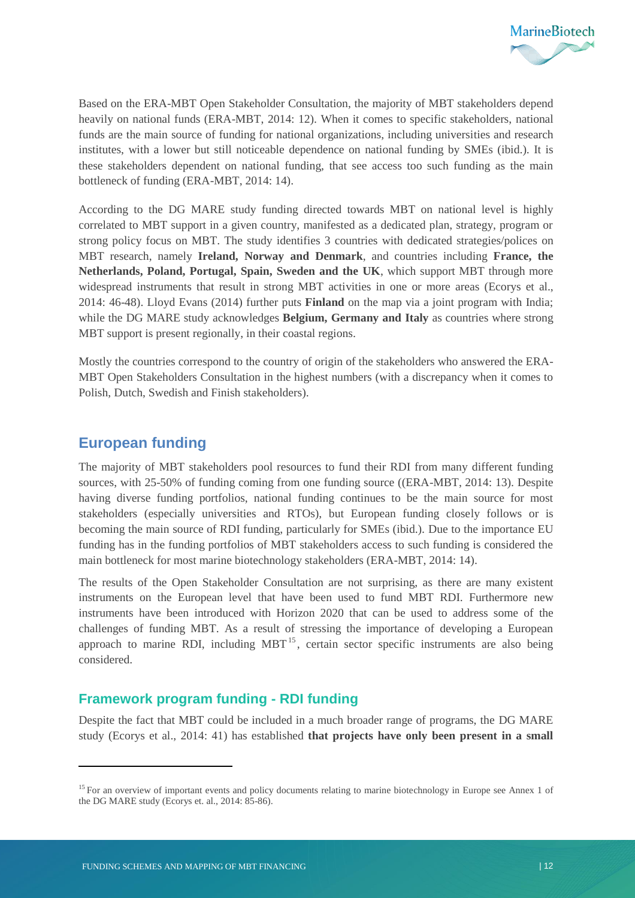

Based on the ERA-MBT Open Stakeholder Consultation, the majority of MBT stakeholders depend heavily on national funds (ERA-MBT, 2014: 12). When it comes to specific stakeholders, national funds are the main source of funding for national organizations, including universities and research institutes, with a lower but still noticeable dependence on national funding by SMEs (ibid.). It is these stakeholders dependent on national funding, that see access too such funding as the main bottleneck of funding (ERA-MBT, 2014: 14).

According to the DG MARE study funding directed towards MBT on national level is highly correlated to MBT support in a given country, manifested as a dedicated plan, strategy, program or strong policy focus on MBT. The study identifies 3 countries with dedicated strategies/polices on MBT research, namely **Ireland, Norway and Denmark**, and countries including **France, the Netherlands, Poland, Portugal, Spain, Sweden and the UK**, which support MBT through more widespread instruments that result in strong MBT activities in one or more areas (Ecorys et al., 2014: 46-48). Lloyd Evans (2014) further puts **Finland** on the map via a joint program with India; while the DG MARE study acknowledges **Belgium, Germany and Italy** as countries where strong MBT support is present regionally, in their coastal regions.

Mostly the countries correspond to the country of origin of the stakeholders who answered the ERA-MBT Open Stakeholders Consultation in the highest numbers (with a discrepancy when it comes to Polish, Dutch, Swedish and Finish stakeholders).

#### <span id="page-13-0"></span>**European funding**

 $\overline{a}$ 

The majority of MBT stakeholders pool resources to fund their RDI from many different funding sources, with 25-50% of funding coming from one funding source ((ERA-MBT, 2014: 13). Despite having diverse funding portfolios, national funding continues to be the main source for most stakeholders (especially universities and RTOs), but European funding closely follows or is becoming the main source of RDI funding, particularly for SMEs (ibid.). Due to the importance EU funding has in the funding portfolios of MBT stakeholders access to such funding is considered the main bottleneck for most marine biotechnology stakeholders (ERA-MBT, 2014: 14).

The results of the Open Stakeholder Consultation are not surprising, as there are many existent instruments on the European level that have been used to fund MBT RDI. Furthermore new instruments have been introduced with Horizon 2020 that can be used to address some of the challenges of funding MBT. As a result of stressing the importance of developing a European approach to marine RDI, including  $MBT<sup>15</sup>$ , certain sector specific instruments are also being considered.

#### **Framework program funding - RDI funding**

Despite the fact that MBT could be included in a much broader range of programs, the DG MARE study (Ecorys et al., 2014: 41) has established **that projects have only been present in a small** 

<sup>&</sup>lt;sup>15</sup> For an overview of important events and policy documents relating to marine biotechnology in Europe see Annex 1 of the DG MARE study (Ecorys et. al., 2014: 85-86).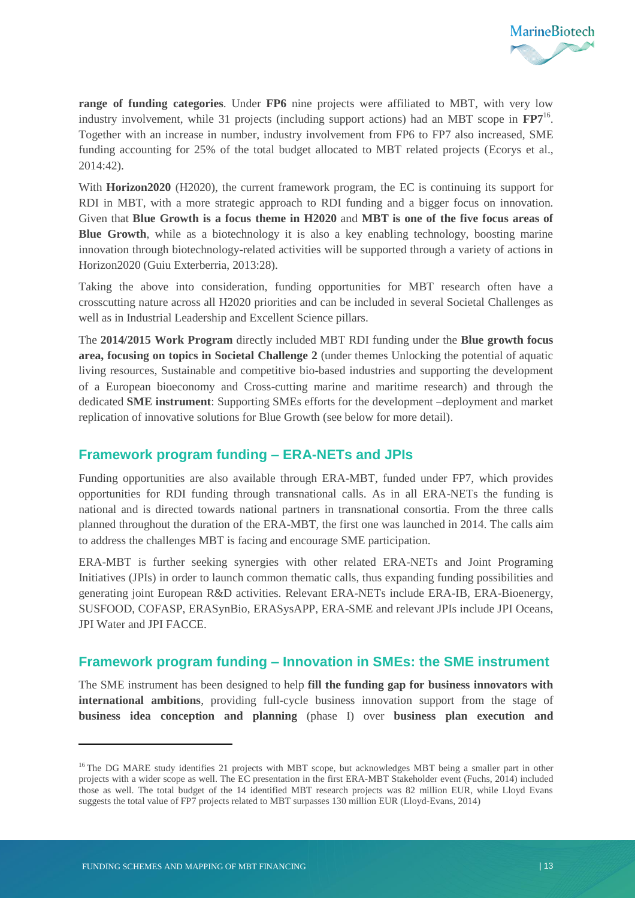

**range of funding categories**. Under **FP6** nine projects were affiliated to MBT, with very low industry involvement, while 31 projects (including support actions) had an MBT scope in **FP7**<sup>16</sup> . Together with an increase in number, industry involvement from FP6 to FP7 also increased, SME funding accounting for 25% of the total budget allocated to MBT related projects (Ecorys et al., 2014:42).

With **Horizon2020** (H2020), the current framework program, the EC is continuing its support for RDI in MBT, with a more strategic approach to RDI funding and a bigger focus on innovation. Given that **Blue Growth is a focus theme in H2020** and **MBT is one of the five focus areas of Blue Growth**, while as a biotechnology it is also a key enabling technology, boosting marine innovation through biotechnology-related activities will be supported through a variety of actions in Horizon2020 (Guiu Exterberria, 2013:28).

Taking the above into consideration, funding opportunities for MBT research often have a crosscutting nature across all H2020 priorities and can be included in several Societal Challenges as well as in Industrial Leadership and Excellent Science pillars.

The **2014/2015 Work Program** directly included MBT RDI funding under the **Blue growth focus area, focusing on topics in Societal Challenge 2** (under themes Unlocking the potential of aquatic living resources, Sustainable and competitive bio-based industries and supporting the development of a European bioeconomy and Cross-cutting marine and maritime research) and through the dedicated **SME instrument**: Supporting SMEs efforts for the development –deployment and market replication of innovative solutions for Blue Growth (see below for more detail).

#### **Framework program funding – ERA-NETs and JPIs**

Funding opportunities are also available through ERA-MBT, funded under FP7, which provides opportunities for RDI funding through transnational calls. As in all ERA-NETs the funding is national and is directed towards national partners in transnational consortia. From the three calls planned throughout the duration of the ERA-MBT, the first one was launched in 2014. The calls aim to address the challenges MBT is facing and encourage SME participation.

ERA-MBT is further seeking synergies with other related ERA-NETs and Joint Programing Initiatives (JPIs) in order to launch common thematic calls, thus expanding funding possibilities and generating joint European R&D activities. Relevant ERA-NETs include ERA-IB, ERA-Bioenergy, SUSFOOD, COFASP, ERASynBio, ERASysAPP, ERA-SME and relevant JPIs include JPI Oceans, JPI Water and JPI FACCE.

#### **Framework program funding – Innovation in SMEs: the SME instrument**

The SME instrument has been designed to help **fill the funding gap for business innovators with international ambitions**, providing full-cycle business innovation support from the stage of **business idea conception and planning** (phase I) over **business plan execution and** 

1

<sup>&</sup>lt;sup>16</sup> The DG MARE study identifies 21 projects with MBT scope, but acknowledges MBT being a smaller part in other projects with a wider scope as well. The EC presentation in the first ERA-MBT Stakeholder event (Fuchs, 2014) included those as well. The total budget of the 14 identified MBT research projects was 82 million EUR, while Lloyd Evans suggests the total value of FP7 projects related to MBT surpasses 130 million EUR (Lloyd-Evans, 2014)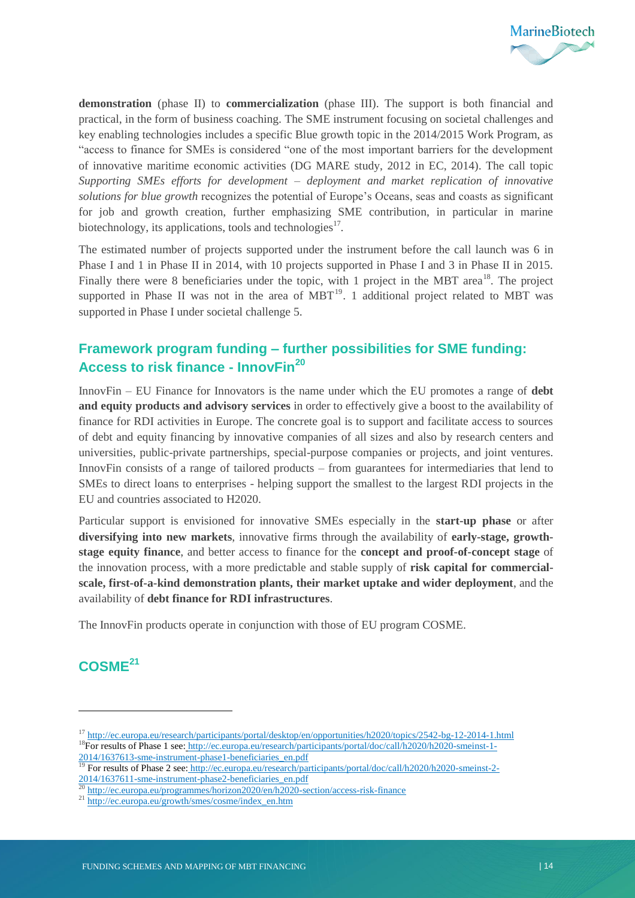

**demonstration** (phase II) to **commercialization** (phase III). The support is both financial and practical, in the form of business coaching. The SME instrument focusing on societal challenges and key enabling technologies includes a specific Blue growth topic in the 2014/2015 Work Program, as "access to finance for SMEs is considered "one of the most important barriers for the development of innovative maritime economic activities (DG MARE study, 2012 in EC, 2014). The call topic *Supporting SMEs efforts for development – deployment and market replication of innovative solutions for blue growth* recognizes the potential of Europe's Oceans, seas and coasts as significant for job and growth creation, further emphasizing SME contribution, in particular in marine biotechnology, its applications, tools and technologies<sup>17</sup>.

The estimated number of projects supported under the instrument before the call launch was 6 in Phase I and 1 in Phase II in 2014, with 10 projects supported in Phase I and 3 in Phase II in 2015. Finally there were 8 beneficiaries under the topic, with 1 project in the MBT area<sup>18</sup>. The project supported in Phase II was not in the area of  $MBT<sup>19</sup>$ . 1 additional project related to MBT was supported in Phase I under societal challenge 5.

### **Framework program funding – further possibilities for SME funding: Access to risk finance - InnovFin<sup>20</sup>**

InnovFin – EU Finance for Innovators is the name under which the EU promotes a range of **debt and equity products and advisory services** in order to effectively give a boost to the availability of finance for RDI activities in Europe. The concrete goal is to support and facilitate access to sources of debt and equity financing by innovative companies of all sizes and also by research centers and universities, public-private partnerships, special-purpose companies or projects, and joint ventures. InnovFin consists of a range of tailored products – from guarantees for intermediaries that lend to SMEs to direct loans to enterprises - helping support the smallest to the largest RDI projects in the EU and countries associated to H2020.

Particular support is envisioned for innovative SMEs especially in the **start-up phase** or after **diversifying into new markets**, innovative firms through the availability of **early-stage, growthstage equity finance**, and better access to finance for the **concept and proof-of-concept stage** of the innovation process, with a more predictable and stable supply of **risk capital for commercialscale, first-of-a-kind demonstration plants, their market uptake and wider deployment**, and the availability of **debt finance for RDI infrastructures**.

The InnovFin products operate in conjunction with those of EU program COSME.

### **COSME<sup>21</sup>**

1

<sup>&</sup>lt;sup>17</sup> http://ec.europa.eu/research/participants/portal/desktop/en/opportunities/h2020/topics/2542-bg-12-2014-1.html <sup>18</sup>For results of Phase 1 see: http://ec.europa.eu/research/participants/portal/doc/call/h2020/h2020-smeinst-1- $\frac{2014/1637613\text{-sme-instrument-phase1-beneficiariesen.pdf}{19 \text{For results of Phase 2 sea: http://ec.avrona av/research/one}}$ 

<sup>19</sup> For results of Phase 2 see: http://ec.europa.eu/research/participants/portal/doc/call/h2020/h2020-smeinst-2- 2014/1637611-sme-instrument-phase2-beneficiaries\_en.pdf

<sup>&</sup>lt;sup>20</sup> http://ec.europa.eu/programmes/horizon2020/en/h2020-section/access-risk-finance

<sup>21</sup> http://ec.europa.eu/growth/smes/cosme/index\_en.htm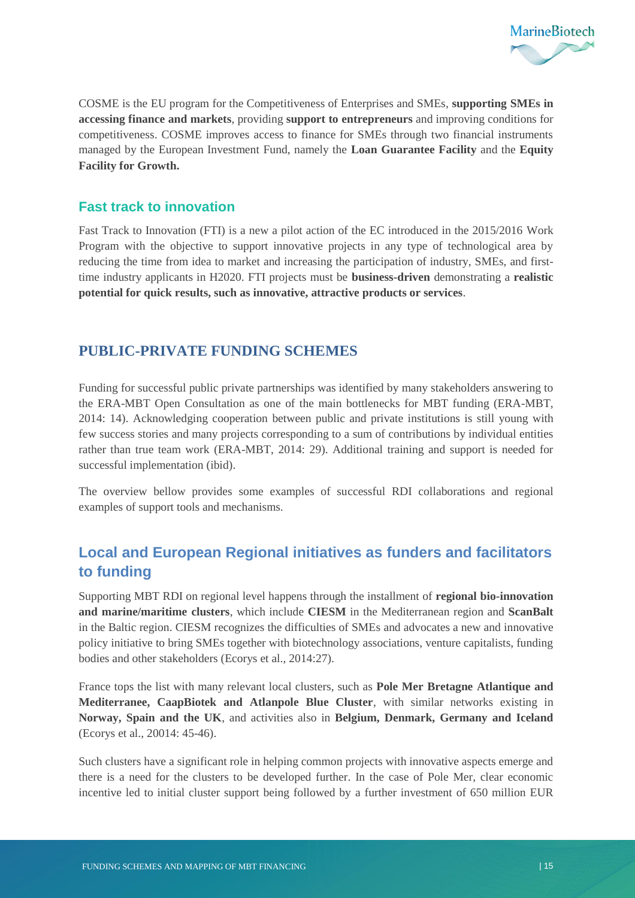

COSME is the EU program for the Competitiveness of Enterprises and SMEs, **supporting SMEs in accessing finance and markets**, providing **support to entrepreneurs** and improving conditions for competitiveness. COSME improves access to finance for SMEs through two financial instruments managed by the European Investment Fund, namely the **Loan Guarantee Facility** and the **Equity Facility for Growth.**

#### **Fast track to innovation**

Fast Track to Innovation (FTI) is a new a pilot action of the EC introduced in the 2015/2016 Work Program with the objective to support innovative projects in any type of technological area by reducing the time from idea to market and increasing the participation of industry, SMEs, and firsttime industry applicants in H2020. FTI projects must be **business-driven** demonstrating a **realistic potential for quick results, such as innovative, attractive products or services**.

### <span id="page-16-0"></span>**PUBLIC-PRIVATE FUNDING SCHEMES**

Funding for successful public private partnerships was identified by many stakeholders answering to the ERA-MBT Open Consultation as one of the main bottlenecks for MBT funding (ERA-MBT, 2014: 14). Acknowledging cooperation between public and private institutions is still young with few success stories and many projects corresponding to a sum of contributions by individual entities rather than true team work (ERA-MBT, 2014: 29). Additional training and support is needed for successful implementation (ibid).

The overview bellow provides some examples of successful RDI collaborations and regional examples of support tools and mechanisms.

## <span id="page-16-1"></span>**Local and European Regional initiatives as funders and facilitators to funding**

Supporting MBT RDI on regional level happens through the installment of **regional bio-innovation and marine/maritime clusters**, which include **CIESM** in the Mediterranean region and **ScanBalt** in the Baltic region. CIESM recognizes the difficulties of SMEs and advocates a new and innovative policy initiative to bring SMEs together with biotechnology associations, venture capitalists, funding bodies and other stakeholders (Ecorys et al., 2014:27).

France tops the list with many relevant local clusters, such as **Pole Mer Bretagne Atlantique and Mediterranee, CaapBiotek and Atlanpole Blue Cluster**, with similar networks existing in **Norway, Spain and the UK**, and activities also in **Belgium, Denmark, Germany and Iceland** (Ecorys et al., 20014: 45-46).

Such clusters have a significant role in helping common projects with innovative aspects emerge and there is a need for the clusters to be developed further. In the case of Pole Mer, clear economic incentive led to initial cluster support being followed by a further investment of 650 million EUR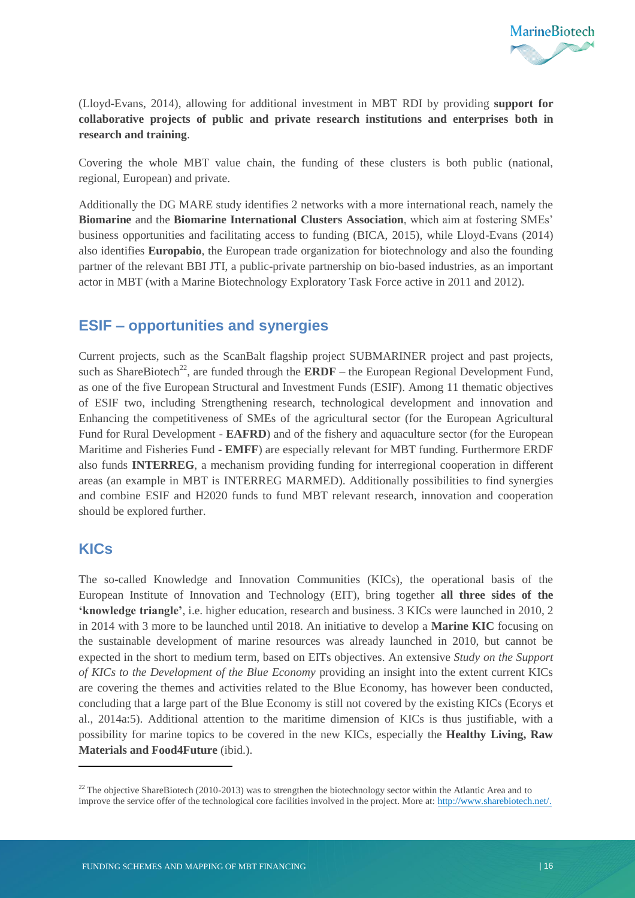

(Lloyd-Evans, 2014), allowing for additional investment in MBT RDI by providing **support for collaborative projects of public and private research institutions and enterprises both in research and training**.

Covering the whole MBT value chain, the funding of these clusters is both public (national, regional, European) and private.

Additionally the DG MARE study identifies 2 networks with a more international reach, namely the **Biomarine** and the **Biomarine International Clusters Association**, which aim at fostering SMEs' business opportunities and facilitating access to funding (BICA, 2015), while Lloyd-Evans (2014) also identifies **Europabio**, the European trade organization for biotechnology and also the founding partner of the relevant BBI JTI, a public-private partnership on bio-based industries, as an important actor in MBT (with a Marine Biotechnology Exploratory Task Force active in 2011 and 2012).

### <span id="page-17-0"></span>**ESIF – opportunities and synergies**

Current projects, such as the ScanBalt flagship project SUBMARINER project and past projects, such as ShareBiotech<sup>22</sup>, are funded through the **ERDF** – the European Regional Development Fund, as one of the five European Structural and Investment Funds (ESIF). Among 11 thematic objectives of ESIF two, including Strengthening research, technological development and innovation and Enhancing the competitiveness of SMEs of the agricultural sector (for the European Agricultural Fund for Rural Development - **EAFRD**) and of the fishery and aquaculture sector (for the European Maritime and Fisheries Fund - **EMFF**) are especially relevant for MBT funding. Furthermore ERDF also funds **INTERREG**, a mechanism providing funding for interregional cooperation in different areas (an example in MBT is INTERREG MARMED). Additionally possibilities to find synergies and combine ESIF and H2020 funds to fund MBT relevant research, innovation and cooperation should be explored further.

#### <span id="page-17-1"></span>**KICs**

 $\overline{a}$ 

The so-called Knowledge and Innovation Communities (KICs), the operational basis of the European Institute of Innovation and Technology (EIT), bring together **all three sides of the 'knowledge triangle'**, i.e. higher education, research and business. 3 KICs were launched in 2010, 2 in 2014 with 3 more to be launched until 2018. An initiative to develop a **Marine KIC** focusing on the sustainable development of marine resources was already launched in 2010, but cannot be expected in the short to medium term, based on EITs objectives. An extensive *Study on the Support of KICs to the Development of the Blue Economy* providing an insight into the extent current KICs are covering the themes and activities related to the Blue Economy, has however been conducted, concluding that a large part of the Blue Economy is still not covered by the existing KICs (Ecorys et al., 2014a:5). Additional attention to the maritime dimension of KICs is thus justifiable, with a possibility for marine topics to be covered in the new KICs, especially the **Healthy Living, Raw Materials and Food4Future** (ibid.).

<sup>&</sup>lt;sup>22</sup> The objective ShareBiotech (2010-2013) was to strengthen the biotechnology sector within the Atlantic Area and to improve the service offer of the technological core facilities involved in the project. More at: http://www.sharebiotech.net/.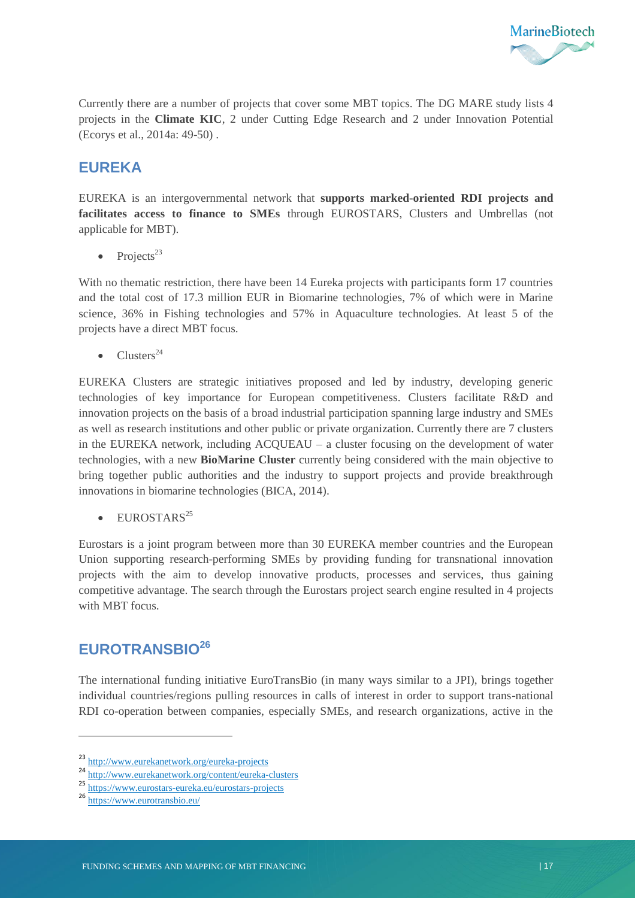

Currently there are a number of projects that cover some MBT topics. The DG MARE study lists 4 projects in the **Climate KIC**, 2 under Cutting Edge Research and 2 under Innovation Potential (Ecorys et al., 2014a: 49-50) .

### <span id="page-18-0"></span>**EUREKA**

EUREKA is an intergovernmental network that **supports marked-oriented RDI projects and facilitates access to finance to SMEs** through EUROSTARS, Clusters and Umbrellas (not applicable for MBT).

• Projects<sup>23</sup>

With no thematic restriction, there have been 14 Eureka projects with participants form 17 countries and the total cost of 17.3 million EUR in Biomarine technologies, 7% of which were in Marine science, 36% in Fishing technologies and 57% in Aquaculture technologies. At least 5 of the projects have a direct MBT focus.

 $\bullet$  Clusters<sup>24</sup>

EUREKA Clusters are strategic initiatives proposed and led by industry, developing generic technologies of key importance for European competitiveness. Clusters facilitate R&D and innovation projects on the basis of a broad industrial participation spanning large industry and SMEs as well as research institutions and other public or private organization. Currently there are 7 clusters in the EUREKA network, including ACQUEAU – a cluster focusing on the development of water technologies, with a new **BioMarine Cluster** currently being considered with the main objective to bring together public authorities and the industry to support projects and provide breakthrough innovations in biomarine technologies (BICA, 2014).

 $\bullet$  EUROSTARS<sup>25</sup>

Eurostars is a joint program between more than 30 EUREKA member countries and the European Union supporting research-performing SMEs by providing funding for transnational innovation projects with the aim to develop innovative products, processes and services, thus gaining competitive advantage. The search through the Eurostars project search engine resulted in 4 projects with MBT focus.

## <span id="page-18-1"></span>**EUROTRANSBIO<sup>26</sup>**

The international funding initiative EuroTransBio (in many ways similar to a JPI), brings together individual countries/regions pulling resources in calls of interest in order to support trans-national RDI co-operation between companies, especially SMEs, and research organizations, active in the

1

<sup>23</sup> http://www.eurekanetwork.org/eureka-projects

http://www.eurekanetwork.org/content/eureka-clusters

<sup>25</sup> https://www.eurostars-eureka.eu/eurostars-projects

<sup>26</sup> https://www.eurotransbio.eu/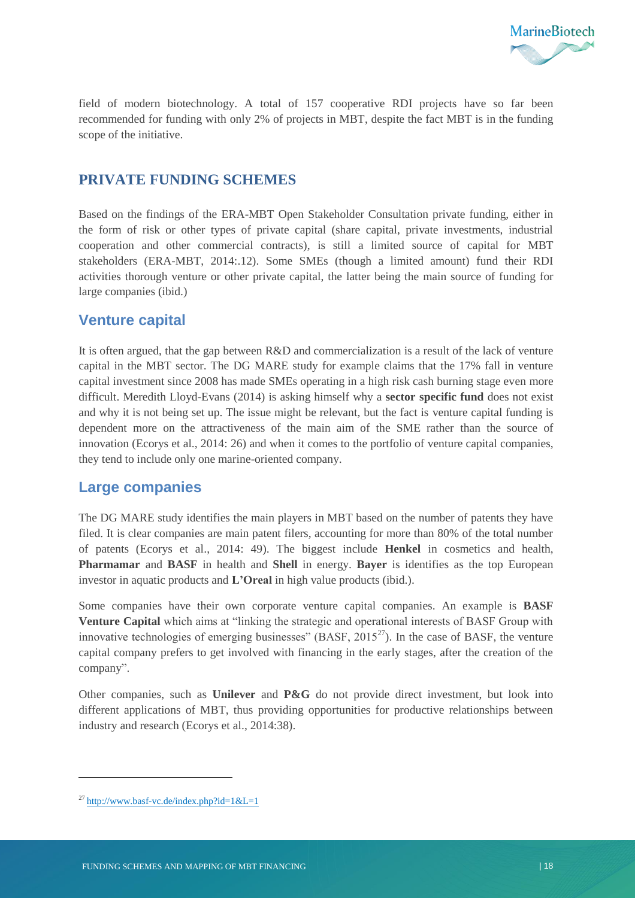

field of modern biotechnology. A total of 157 cooperative RDI projects have so far been recommended for funding with only 2% of projects in MBT, despite the fact MBT is in the funding scope of the initiative.

#### <span id="page-19-0"></span>**PRIVATE FUNDING SCHEMES**

Based on the findings of the ERA-MBT Open Stakeholder Consultation private funding, either in the form of risk or other types of private capital (share capital, private investments, industrial cooperation and other commercial contracts), is still a limited source of capital for MBT stakeholders (ERA-MBT, 2014:.12). Some SMEs (though a limited amount) fund their RDI activities thorough venture or other private capital, the latter being the main source of funding for large companies (ibid.)

#### <span id="page-19-1"></span>**Venture capital**

It is often argued, that the gap between R&D and commercialization is a result of the lack of venture capital in the MBT sector. The DG MARE study for example claims that the 17% fall in venture capital investment since 2008 has made SMEs operating in a high risk cash burning stage even more difficult. Meredith Lloyd-Evans (2014) is asking himself why a **sector specific fund** does not exist and why it is not being set up. The issue might be relevant, but the fact is venture capital funding is dependent more on the attractiveness of the main aim of the SME rather than the source of innovation (Ecorys et al., 2014: 26) and when it comes to the portfolio of venture capital companies, they tend to include only one marine-oriented company.

### <span id="page-19-2"></span>**Large companies**

The DG MARE study identifies the main players in MBT based on the number of patents they have filed. It is clear companies are main patent filers, accounting for more than 80% of the total number of patents (Ecorys et al., 2014: 49). The biggest include **Henkel** in cosmetics and health, **Pharmamar** and **BASF** in health and **Shell** in energy. **Bayer** is identifies as the top European investor in aquatic products and **L'Oreal** in high value products (ibid.).

Some companies have their own corporate venture capital companies. An example is **BASF Venture Capital** which aims at "linking the strategic and operational interests of BASF Group with innovative technologies of emerging businesses" (BASF,  $2015^{27}$ ). In the case of BASF, the venture capital company prefers to get involved with financing in the early stages, after the creation of the company".

Other companies, such as **Unilever** and **P&G** do not provide direct investment, but look into different applications of MBT, thus providing opportunities for productive relationships between industry and research (Ecorys et al., 2014:38).

 $\ddot{\phantom{a}}$ 

 $^{27}$  http://www.basf-vc.de/index.php?id=1&L=1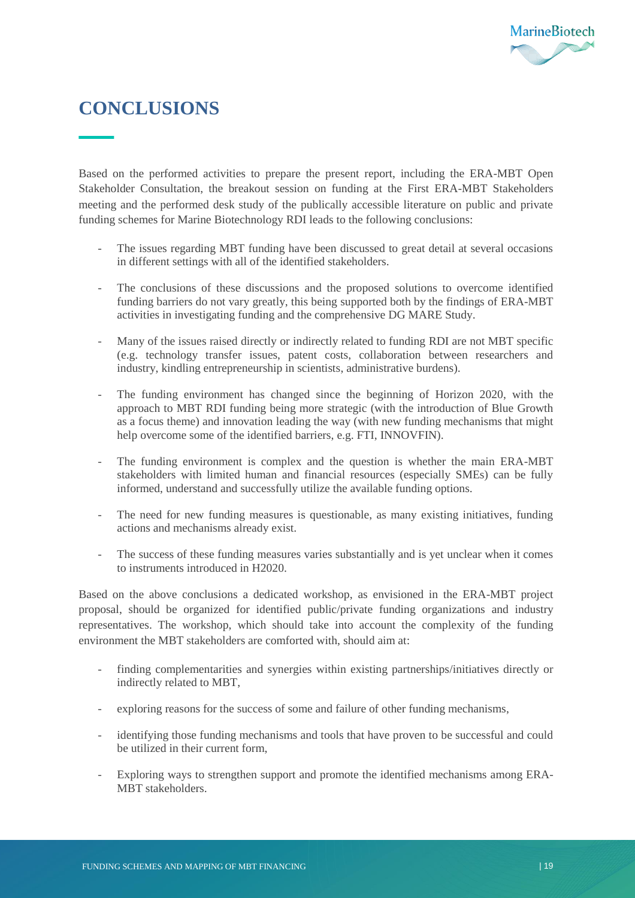## <span id="page-20-0"></span>**CONCLUSIONS**

Based on the performed activities to prepare the present report, including the ERA-MBT Open Stakeholder Consultation, the breakout session on funding at the First ERA-MBT Stakeholders meeting and the performed desk study of the publically accessible literature on public and private funding schemes for Marine Biotechnology RDI leads to the following conclusions:

- The issues regarding MBT funding have been discussed to great detail at several occasions in different settings with all of the identified stakeholders.
- The conclusions of these discussions and the proposed solutions to overcome identified funding barriers do not vary greatly, this being supported both by the findings of ERA-MBT activities in investigating funding and the comprehensive DG MARE Study.
- Many of the issues raised directly or indirectly related to funding RDI are not MBT specific (e.g. technology transfer issues, patent costs, collaboration between researchers and industry, kindling entrepreneurship in scientists, administrative burdens).
- The funding environment has changed since the beginning of Horizon 2020, with the approach to MBT RDI funding being more strategic (with the introduction of Blue Growth as a focus theme) and innovation leading the way (with new funding mechanisms that might help overcome some of the identified barriers, e.g. FTI, INNOVFIN).
- The funding environment is complex and the question is whether the main ERA-MBT stakeholders with limited human and financial resources (especially SMEs) can be fully informed, understand and successfully utilize the available funding options.
- The need for new funding measures is questionable, as many existing initiatives, funding actions and mechanisms already exist.
- The success of these funding measures varies substantially and is yet unclear when it comes to instruments introduced in H2020.

Based on the above conclusions a dedicated workshop, as envisioned in the ERA-MBT project proposal, should be organized for identified public/private funding organizations and industry representatives. The workshop, which should take into account the complexity of the funding environment the MBT stakeholders are comforted with, should aim at:

- finding complementarities and synergies within existing partnerships/initiatives directly or indirectly related to MBT,
- exploring reasons for the success of some and failure of other funding mechanisms,
- identifying those funding mechanisms and tools that have proven to be successful and could be utilized in their current form,
- Exploring ways to strengthen support and promote the identified mechanisms among ERA-MBT stakeholders.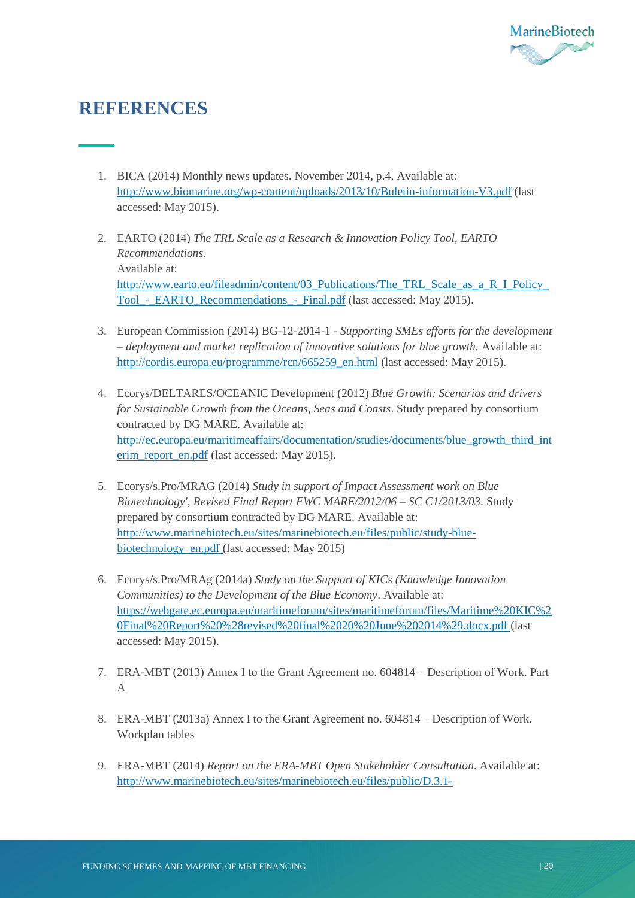

## <span id="page-21-0"></span>**REFERENCES**

- 1. BICA (2014) Monthly news updates. November 2014, p.4. Available at: <http://www.biomarine.org/wp-content/uploads/2013/10/Buletin-information-V3.pdf> (last accessed: May 2015).
- 2. EARTO (2014) *The TRL Scale as a Research & Innovation Policy Tool, EARTO Recommendations*. Available at: [http://www.earto.eu/fileadmin/content/03\\_Publications/The\\_TRL\\_Scale\\_as\\_a\\_R\\_I\\_Policy\\_](http://www.earto.eu/fileadmin/content/03_Publications/The_TRL_Scale_as_a_R_I_Policy_Tool_-_EARTO_Recommendations_-_Final.pdf) [Tool\\_-\\_EARTO\\_Recommendations\\_-\\_Final.pdf](http://www.earto.eu/fileadmin/content/03_Publications/The_TRL_Scale_as_a_R_I_Policy_Tool_-_EARTO_Recommendations_-_Final.pdf) (last accessed: May 2015).
- 3. European Commission (2014) BG-12-2014-1 *Supporting SMEs efforts for the development – deployment and market replication of innovative solutions for blue growth.* Available at: [http://cordis.europa.eu/programme/rcn/665259\\_en.html](http://cordis.europa.eu/programme/rcn/665259_en.html) (last accessed: May 2015).
- 4. Ecorys/DELTARES/OCEANIC Development (2012) *Blue Growth: Scenarios and drivers for Sustainable Growth from the Oceans, Seas and Coasts*. Study prepared by consortium contracted by DG MARE. Available at: [http://ec.europa.eu/maritimeaffairs/documentation/studies/documents/blue\\_growth\\_third\\_int](http://ec.europa.eu/maritimeaffairs/documentation/studies/documents/blue_growth_third_interim_report_en.pdf) [erim\\_report\\_en.pdf](http://ec.europa.eu/maritimeaffairs/documentation/studies/documents/blue_growth_third_interim_report_en.pdf) (last accessed: May 2015).
- 5. Ecorys/s.Pro/MRAG (2014) *Study in support of Impact Assessment work on Blue Biotechnology'*, *Revised Final Report FWC MARE/2012/06 – SC C1/2013/03*. Study prepared by consortium contracted by DG MARE. Available at: [http://www.marinebiotech.eu/sites/marinebiotech.eu/files/public/study-blue](http://www.marinebiotech.eu/sites/marinebiotech.eu/files/public/study-blue-biotechnology_en.pdf)[biotechnology\\_en.pdf](http://www.marinebiotech.eu/sites/marinebiotech.eu/files/public/study-blue-biotechnology_en.pdf) (last accessed: May 2015)
- 6. Ecorys/s.Pro/MRAg (2014a) *Study on the Support of KICs (Knowledge Innovation Communities) to the Development of the Blue Economy*. Available at: [https://webgate.ec.europa.eu/maritimeforum/sites/maritimeforum/files/Maritime%20KIC%2](https://webgate.ec.europa.eu/maritimeforum/sites/maritimeforum/files/Maritime%20KIC%20Final%20Report%20%28revised%20final%2020%20June%202014%29.docx.pdf) [0Final%20Report%20%28revised%20final%2020%20June%202014%29.docx.pdf](https://webgate.ec.europa.eu/maritimeforum/sites/maritimeforum/files/Maritime%20KIC%20Final%20Report%20%28revised%20final%2020%20June%202014%29.docx.pdf) (last accessed: May 2015).
- 7. ERA-MBT (2013) Annex I to the Grant Agreement no. 604814 Description of Work. Part A
- 8. ERA-MBT (2013a) Annex I to the Grant Agreement no. 604814 Description of Work. Workplan tables
- 9. ERA-MBT (2014) *Report on the ERA-MBT Open Stakeholder Consultation.* Available at: [http://www.marinebiotech.eu/sites/marinebiotech.eu/files/public/D.3.1-](http://www.marinebiotech.eu/sites/marinebiotech.eu/files/public/D.3.1-3.5%20Report%20on%20ERA-MBT%20Open%20Stakeholder%20consultation.pdf)